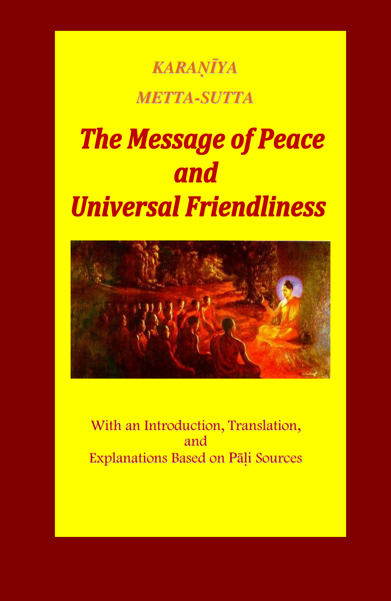## *KARAöäYA METTA-SUTTA*

# **The Message of Peace** and **Universal Friendliness**



With an Introduction, Translation, and Explanations Based on Pāli Sources

1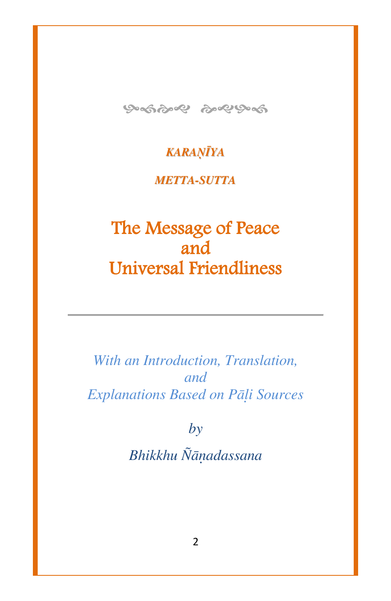

#### *KARAöäYA*

#### *METTA-SUTTA*

### The Message of Peace and Universal Friendliness

*With an Introduction, Translation, and Explanations Based on Pàëi Sources*

*by*

*Bhikkhu ¥àõadassana*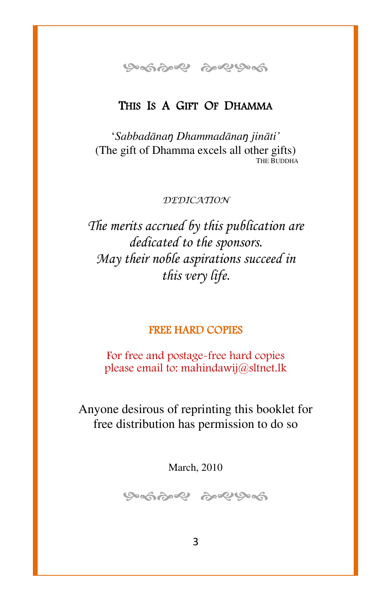ஒஞ்ஜி ஜெடுக்

#### THIS IS A GIFT OF DHAMMA

`*Sabbadànaŋ Dhammadànaŋ jinàti'* (The gift of Dhamma excels all other gifts) THE BUDDHA

*DEDICATION*

*The merits accrued by this publication are dedicated to the sponsors. May their noble aspirations succeed in this very life.*

#### FREE HARD COPIES

For free and postage-free hard copies please email to: [mahindawij@sltnet.lk](mailto:mahindawij@sltnet.lk)

Anyone desirous of reprinting this booklet for free distribution has permission to do so

March, 2010

ஒன்ஜை ஒஜுவை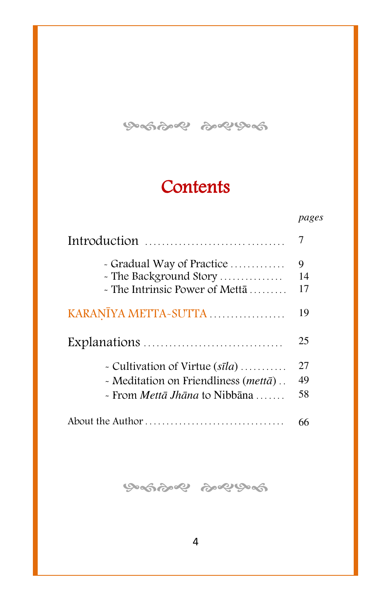ஒத்தை தவுத்தி

### **Contents**

|                                                                                       | pages         |
|---------------------------------------------------------------------------------------|---------------|
| Introduction $\ldots, \ldots, \ldots, \ldots, \ldots, \ldots, \ldots$                 | 7             |
| - Gradual Way of Practice<br>- The Background Story<br>- The Intrinsic Power of Mettā | 9<br>14<br>17 |
| KARANĪYA METTA-SUTTA                                                                  | 19            |
|                                                                                       | 25            |
| - Cultivation of Virtue $(s\bar{u}l)$                                                 | 27            |
| - Meditation on Friendliness (mettā)                                                  | 49            |
| $\sim$ From <i>Mettā Jhāna</i> to Nibbāna                                             | 58            |
|                                                                                       | 66            |

ଡ଼େଇଡ଼େ ବି ବି ବି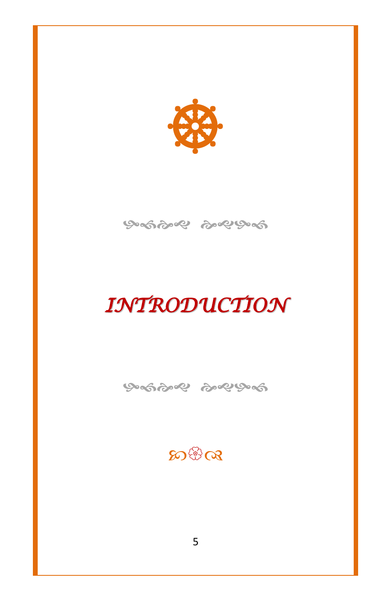



## *INTRODUCTION*

ଡ଼େଇଡ଼େ ବି ବି ବି

<u>କୁ ଅଙ୍କ</u>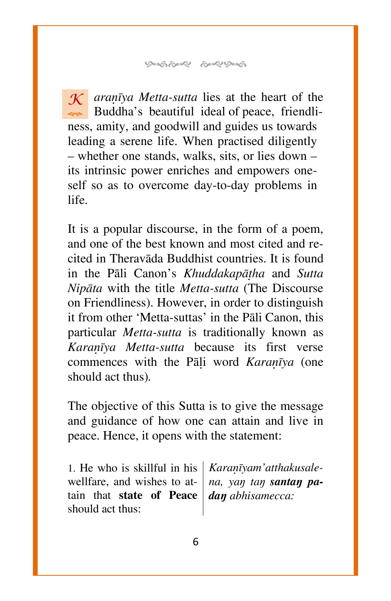**৩-জঠ-২ ৯২৬-জ** 

 $\mathcal{K}$  *arañva Metta-sutta* lies at the heart of the Buddha's beautiful ideal of peace, friendliness, amity, and goodwill and guides us towards leading a serene life. When practised diligently  $-$  whether one stands, walks, sits, or lies down  $$ its intrinsic power enriches and empowers oneself so as to overcome day-to-day problems in life.

It is a popular discourse, in the form of a poem, and one of the best known and most cited and recited in Theravàda Buddhist countries. It is found in the [Pàli Canon'](http://en.wikipedia.org/wiki/Pali_Canon)s *[Khuddakapàñha](http://en.wikipedia.org/wiki/Khuddakapatha)* and *[Sutta](http://en.wikipedia.org/wiki/Sutta_Nipata)  [Nipàta](http://en.wikipedia.org/wiki/Sutta_Nipata)* with the title *Metta-sutta* (The Discourse on Friendliness). However, in order to distinguish it from other `Metta-suttas' in the [Pàli Canon,](http://en.wikipedia.org/wiki/Pali_Canon) this particular *Metta-sutta* is traditionally known as Karanīya Metta-sutta because its first verse commences with the Pali word *Karañva* (one should act thus)*.*

The objective of this Sutta is to give the message and guidance of how one can attain and live in peace. Hence, it opens with the statement:

1. He who is skillful in his wellfare, and wishes to attain that **state of Peace**  should act thus:

Karanīyam'atthakusale*na*, *yan tan santan padaŋ abhisamecca:*

6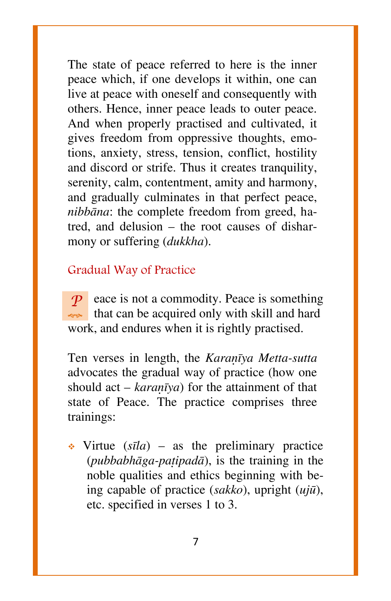The state of peace referred to here is the inner peace which, if one develops it within, one can live at peace with oneself and consequently with others. Hence, inner peace leads to outer peace. And when properly practised and cultivated, it gives freedom from oppressive thoughts, emotions, anxiety, stress, tension, conflict, hostility and discord or strife. Thus it creates tranquility, serenity, calm, contentment, amity and harmony, and gradually culminates in that perfect peace, *nibbàna*: the complete freedom from greed, hatred, and delusion  $-$  the root causes of disharmony or suffering (*dukkha*).

#### Gradual Way of Practice

*P*eace is not a commodity. Peace is something that can be acquired only with skill and hard work, and endures when it is rightly practised.

Ten verses in length, the *Karanīya Metta-sutta* advocates the gradual way of practice (how one should act  $-$  *karañva*) for the attainment of that state of Peace. The practice comprises three trainings:

 $\cdot$  Virtue ( $s\bar{u}$ *a*) – as the preliminary practice (*pubbabhàga-pañipadà*), is the training in the noble qualities and ethics beginning with being capable of practice (*sakko*), upright (*ujå*), etc. specified in verses 1 to 3.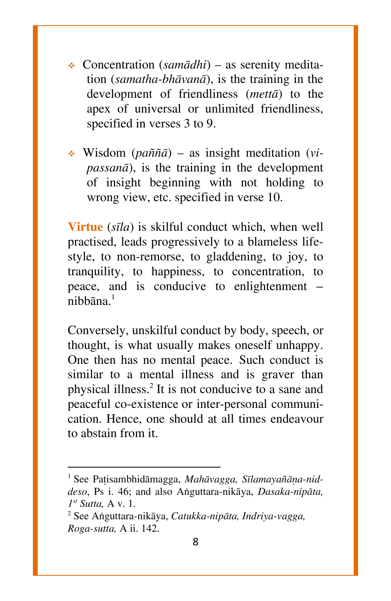- Concentration (*samādhi*) as serenity meditation (*samatha-bhàvanà*), is the training in the development of friendliness (*mettà*) to the apex of universal or unlimited friendliness, specified in verses 3 to 9.
- **❖** Wisdom (*paññā*) as insight meditation (*vipassanà*), is the training in the development of insight beginning with not holding to wrong view, etc. specified in verse 10.

**Virtue** (*sãla*) is skilful conduct which, when well practised, leads progressively to a blameless lifestyle, to non-remorse, to gladdening, to joy, to tranquility, to happiness, to concentration, to peace, and is conducive to enlightenment nibh $\bar{a}$ na $^{-1}$ 

Conversely, unskilful conduct by body, speech, or thought, is what usually makes oneself unhappy. One then has no mental peace. Such conduct is similar to a mental illness and is graver than physical illness.<sup>2</sup> It is not conducive to a sane and peaceful co-existence or inter-personal communication. Hence, one should at all times endeavour to abstain from it.

 $\overline{a}$ 

<sup>&</sup>lt;sup>1</sup> See Patisambhidāmagga, Mahāvagga, Sīlamayañāna-nid*deso*, Ps i. 46; and also Aïguttara-nikàya, *Dasaka-nipàta, 1 st Sutta,* A v. 1.

<sup>2</sup> See Aïguttara-nikàya, *Catukka-nipàta, Indriya-vagga, Roga-sutta,* A ii. 142.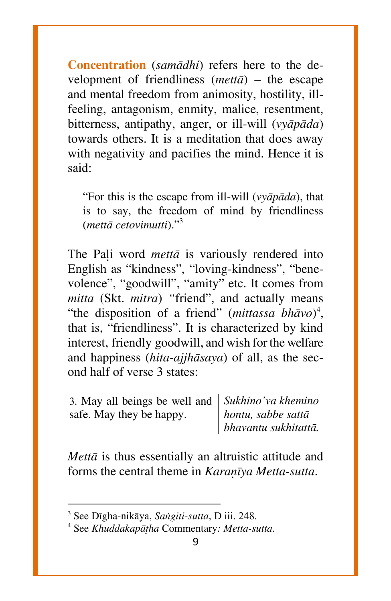**Concentration** (*samàdhi*) refers here to the development of friendliness  $(met\bar{a})$  – the escape and mental freedom from animosity, hostility, illfeeling, antagonism, enmity, malice, resentment, bitterness, antipathy, anger, or ill-will (*vyàpàda*) towards others. It is a meditation that does away with negativity and pacifies the mind. Hence it is said:

ßFor this is the escape from ill-will (*vyàpàda*), that is to say, the freedom of mind by friendliness (*mettā cetovimutti*)."<sup>3</sup>

The Pali word *metta* is variously rendered into English as "kindness", "loving-kindness", "benevolence", "goodwill", "amity" etc. It comes from *mitta* (Skt. *mitra*) "friend", and actually means "the disposition of a friend" (*mittassa bhāvo*)<sup>4</sup>, that is, "friendliness". It is characterized by kind interest, friendly goodwill, and wish for the welfare and happiness (*hita-ajjhàsaya*) of all, as the second half of verse 3 states:

3. May all beings be well and *Sukhino'va khemino*  safe. May they be happy.

 $\overline{\phantom{a}}$ 

*hontu, sabbe sattà bhavantu sukhitattà.*

*Mettà* is thus essentially an altruistic attitude and forms the central theme in *Karañva Metta-sutta*.

<sup>3</sup> See Dãgha-nikàya, *Saïgiti-sutta*, D iii. 248.

<sup>4</sup> See *Khuddakapàñha* Commentary*: Metta-sutta*.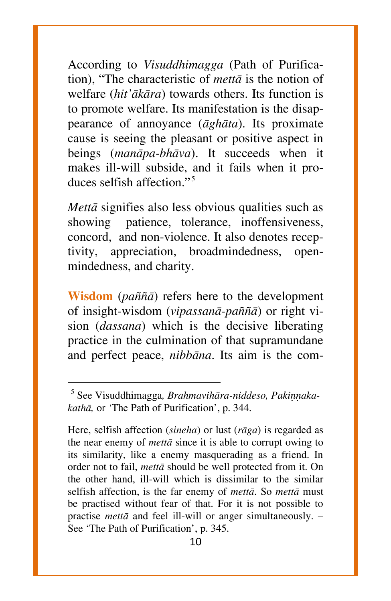According to *Visuddhimagga* (Path of Purification), "The characteristic of *metta* is the notion of welfare (*hit'àkàra*) towards others. Its function is to promote welfare. Its manifestation is the disappearance of annoyance (*àghàta*). Its proximate cause is seeing the pleasant or positive aspect in beings (*manàpa-bhàva*). It succeeds when it makes ill-will subside, and it fails when it produces selfish affection. $15$ 

*Mettā* signifies also less obvious qualities such as showing patience, tolerance, inoffensiveness, concord, and non-violence. It also denotes receptivity, appreciation, broadmindedness, openmindedness, and charity.

**Wisdom** (*paññā*) refers here to the development of insight-wisdom (*vipassanà-pa¤¤à*) or right vision (*dassana*) which is the decisive liberating practice in the culmination of that supramundane and perfect peace, *nibbàna*. Its aim is the com-

 $\overline{\phantom{a}}$ 

<sup>&</sup>lt;sup>5</sup> See Visuddhimagga, Brahmavihāra-niddeso, Pakiņņaka*kathà,* or *`*The Path of Purification', p. 344.

Here, selfish affection (*sineha*) or lust (*ràga*) is regarded as the near enemy of *mettà* since it is able to corrupt owing to its similarity, like a enemy masquerading as a friend. In order not to fail, *mettà* should be well protected from it. On the other hand, ill-will which is dissimilar to the similar selfish affection, is the far enemy of *mettà*. So *mettà* must be practised without fear of that. For it is not possible to practise *mettā* and feel ill-will or anger simultaneously. – See 'The Path of Purification', p. 345.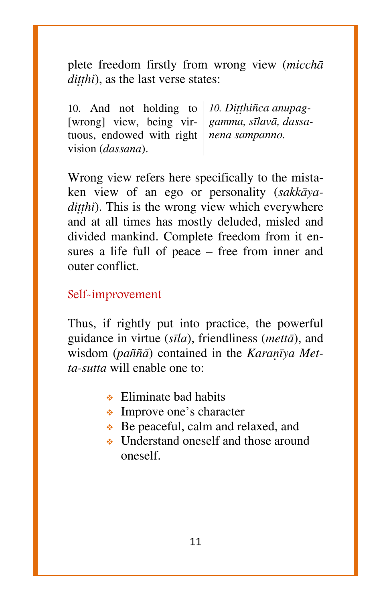plete freedom firstly from wrong view (*micchà ditthi*), as the last verse states:

10. And not holding to | 10. Ditthinca anupag-[wrong] view, being virtuous, endowed with right *nena sampanno.* vision (*dassana*). *gamma, sãlavà, dassa-*

Wrong view refers here specifically to the mistaken view of an ego or personality (*sakkàyaditthi*). This is the wrong view which everywhere and at all times has mostly deluded, misled and divided mankind. Complete freedom from it ensures a life full of peace  $-$  free from inner and outer conflict.

#### Self-improvement

Thus, if rightly put into practice, the powerful guidance in virtue (*sãla*), friendliness (*mettà*), and wisdom (*paññā*) contained in the *Karañva Metta-sutta* will enable one to:

- $\bullet$  Eliminate bad habits
- Improve one's character
- ◆ Be peaceful, calm and relaxed, and
- Understand oneself and those around oneself.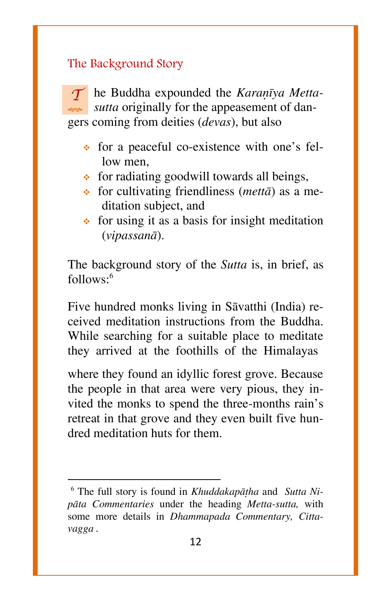#### The Background Story

*T* الموبها he Buddha expounded the *Karanīya Mettasutta* originally for the appeasement of dangers coming from deities (*devas*), but also

- $\cdot$  for a peaceful co-existence with one's fellow men
- $\bullet$  for radiating goodwill towards all beings,
- for cultivating friendliness (*mettà*) as a meditation subject, and
- $\div$  for using it as a basis for insight meditation (*vipassanà*).

The background story of the *Sutta* is, in brief, as  $follows:<sup>6</sup>$ 

Five hundred monks living in Sàvatthi (India) received meditation instructions from the Buddha. While searching for a suitable place to meditate they arrived at the foothills of the Himalayas

where they found an idyllic forest grove. Because the people in that area were very pious, they invited the monks to spend the three-months rain's retreat in that grove and they even built five hundred meditation huts for them.

 $\overline{a}$ 

<sup>&</sup>lt;sup>6</sup> The full story is found in *Khuddakapāṭha* and *[Sutta Ni](http://en.wikipedia.org/wiki/Sutta_Nipata)[pàta](http://en.wikipedia.org/wiki/Sutta_Nipata) Commentaries* under the heading *Metta-sutta,* with some more details in *Dhammapada Commentary, Cittavagga .*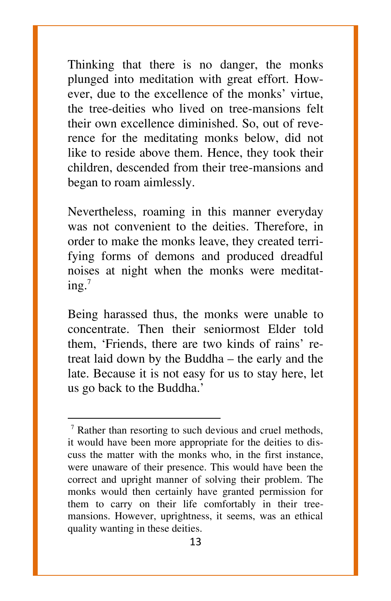Thinking that there is no danger, the monks plunged into meditation with great effort. However, due to the excellence of the monks' virtue, the tree-deities who lived on tree-mansions felt their own excellence diminished. So, out of reverence for the meditating monks below, did not like to reside above them. Hence, they took their children, descended from their tree-mansions and began to roam aimlessly.

Nevertheless, roaming in this manner everyday was not convenient to the deities. Therefore, in order to make the monks leave, they created terrifying forms of demons and produced dreadful noises at night when the monks were meditat $ing.^7$ 

Being harassed thus, the monks were unable to concentrate. Then their seniormost Elder told them, 'Friends, there are two kinds of rains' retreat laid down by the Buddha  $-$  the early and the late. Because it is not easy for us to stay here, let us go back to the Buddha.'

 $\overline{\phantom{a}}$ 

<sup>77</sup> Rather than resorting to such devious and cruel methods, it would have been more appropriate for the deities to discuss the matter with the monks who, in the first instance, were unaware of their presence. This would have been the correct and upright manner of solving their problem. The monks would then certainly have granted permission for them to carry on their life comfortably in their treemansions. However, uprightness, it seems, was an ethical quality wanting in these deities.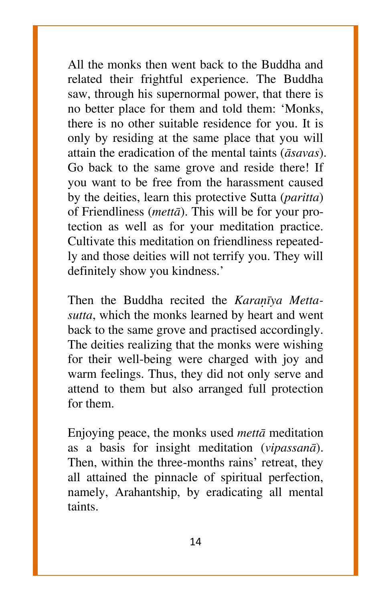All the monks then went back to the Buddha and related their frightful experience. The Buddha saw, through his supernormal power, that there is no better place for them and told them: `Monks, there is no other suitable residence for you. It is only by residing at the same place that you will attain the eradication of the mental taints (*àsavas*). Go back to the same grove and reside there! If you want to be free from the harassment caused by the deities, learn this protective Sutta (*paritta*) of Friendliness (*mettà*). This will be for your protection as well as for your meditation practice. Cultivate this meditation on friendliness repeatedly and those deities will not terrify you. They will definitely show you kindness.'

Then the Buddha recited the *Karanīya Mettasutta*, which the monks learned by heart and went back to the same grove and practised accordingly. The deities realizing that the monks were wishing for their well-being were charged with joy and warm feelings. Thus, they did not only serve and attend to them but also arranged full protection for them.

Enjoying peace, the monks used *mettà* meditation as a basis for insight meditation (*vipassanà*). Then, within the three-months rains' retreat, they all attained the pinnacle of spiritual perfection, namely, Arahantship, by eradicating all mental taints.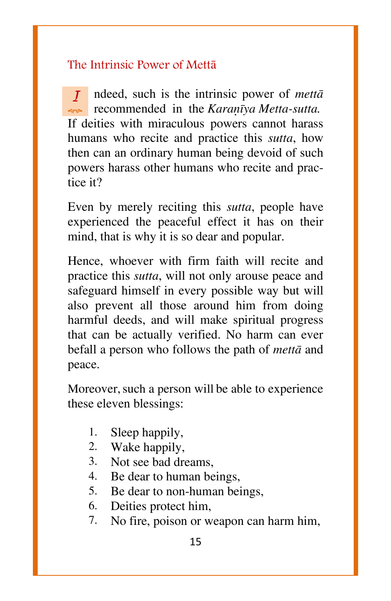#### The Intrinsic Power of Mettà

*I* recommended in the *Karaṇīya Metta-sutta*. ndeed, such is the intrinsic power of *mettà*  If deities with miraculous powers cannot harass humans who recite and practice this *sutta*, how then can an ordinary human being devoid of such powers harass other humans who recite and practice it?

Even by merely reciting this *sutta*, people have experienced the peaceful effect it has on their mind, that is why it is so dear and popular.

Hence, whoever with firm faith will recite and practice this *sutta*, will not only arouse peace and safeguard himself in every possible way but will also prevent all those around him from doing harmful deeds, and will make spiritual progress that can be actually verified. No harm can ever befall a person who follows the path of *mettà* and peace.

Moreover, such a person will be able to experience these eleven blessings:

- 1. Sleep happily,
- 2. Wake happily,
- 3. Not see bad dreams,
- 4. Be dear to human beings,
- 5. Be dear to non-human beings,
- 6. Deities protect him,
- 7. No fire, poison or weapon can harm him,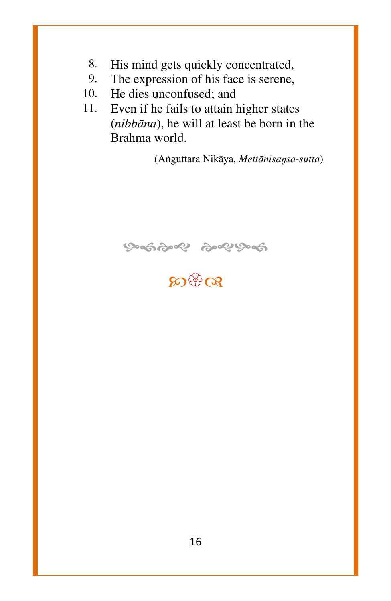- 8. His mind gets quickly concentrated,
- 9. The expression of his face is serene,
- 10. He dies unconfused; and
- 11. Even if he fails to attain higher states (*nibbàna*), he will at least be born in the Brahma world.

(Aïguttara Nikàya, *Mettànisaŋsa-sutta*)



## **E**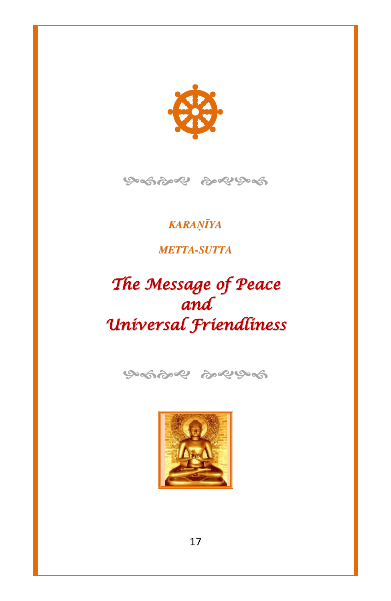



#### *KARAöäYA*

#### *METTA-SUTTA*

## *The Message of Peace and Universal Friendliness*



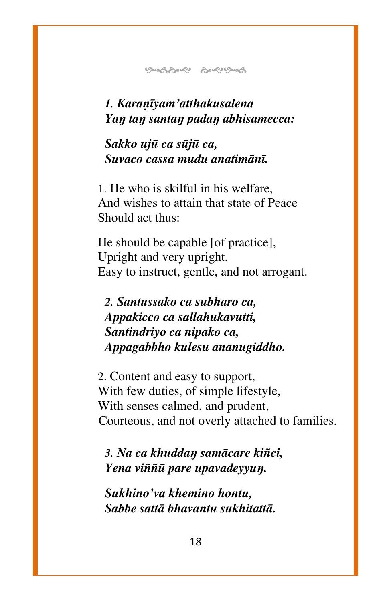#### *1. Karaõãyam'atthakusalena Yaŋ taŋ santaŋ padaŋ abhisamecca:*

#### *Sakko ujå ca såjå ca, Suvaco cassa mudu anatimànã.*

1. He who is skilful in his welfare, And wishes to attain that state of Peace Should act thus:

He should be capable [of practice], Upright and very upright, Easy to instruct, gentle, and not arrogant.

*2. Santussako ca subharo ca, Appakicco ca sallahukavutti, Santindriyo ca nipako ca, Appagabbho kulesu ananugiddho.*

2. Content and easy to support, With few duties, of simple lifestyle, With senses calmed, and prudent, Courteous, and not overly attached to families.

*3. Na ca khuddaŋ samàcare ki¤ci, Yena vi¤¤å pare upavadeyyuŋ.*

*Sukhino'va khemino hontu, Sabbe sattà bhavantu sukhitattà.*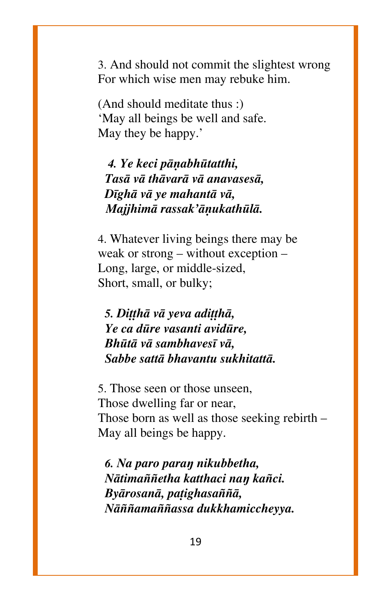3. And should not commit the slightest wrong For which wise men may rebuke him.

(And should meditate thus :) `May all beings be well and safe. May they be happy.'

*4. Ye keci pàõabhåtatthi, Tasà và thàvarà và anavasesà, Dãghà và ye mahantà và, Majjhimà rassak'àõukathålà.*

4. Whatever living beings there may be weak or strong – without exception – Long, large, or middle-sized, Short, small, or bulky;

*5. Ditthā vā yeva aditthā*, *Ye ca dåre vasanti avidåre, Bhåtà và sambhavesã và, Sabbe sattà bhavantu sukhitattà.*

5. Those seen or those unseen, Those dwelling far or near, Those born as well as those seeking rebirth  $-$ May all beings be happy.

*6. Na paro paraŋ nikubbetha, Nàtima¤¤etha katthaci naŋ ka¤ci. Byàrosanà, pañighasa¤¤à, Nतama¤¤assa dukkhamiccheyya.*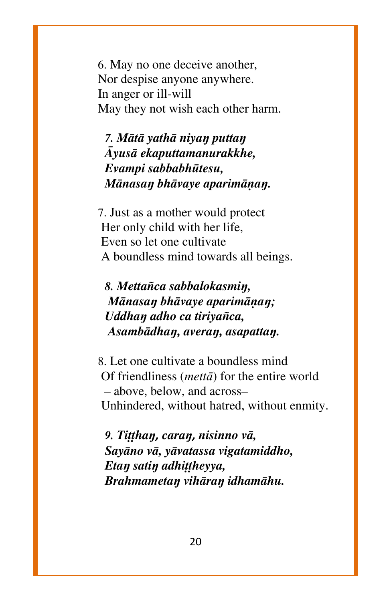6. May no one deceive another, Nor despise anyone anywhere. In anger or ill-will May they not wish each other harm.

*7. Màtà yathà niyaŋ puttaŋ âyusà ekaputtamanurakkhe, Evampi sabbabhåtesu, Mànasaŋ bhàvaye aparimàõaŋ.*

7. Just as a mother would protect Her only child with her life, Even so let one cultivate A boundless mind towards all beings.

*8. Metta¤ca sabbalokasmiŋ, Mànasaŋ bhàvaye aparimàõaŋ; Uddhaŋ adho ca tiriya¤ca, Asambàdhaŋ, averaŋ, asapattaŋ.*

8. Let one cultivate a boundless mind Of friendliness (*mettā*) for the entire world – above, below, and across– Unhindered, without hatred, without enmity.

*g. Tițțhan, caran, nisinno vā, Sayàno và, yàvatassa vigatamiddho,*  $E$ *tan satin adhittheyya*, *Brahmametaŋ vihàraŋ idhamàhu.*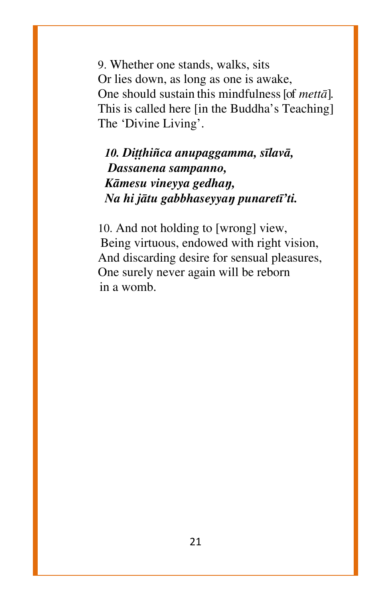9. Whether one stands, walks, sits Or lies down, as long as one is awake, One should sustain this mindfulness[of *mettà*]. This is called here [in the Buddha's Teaching] The 'Divine Living'.

#### 10. Dițthiñca anupaggamma, sīlavā, *Dassanena sampanno, Kàmesu vineyya gedhaŋ, Na hi jàtu gabbhaseyyaŋ punaretã'ti.*

10. And not holding to [wrong] view, Being virtuous, endowed with right vision, And discarding desire for sensual pleasures, One surely never again will be reborn in a womb.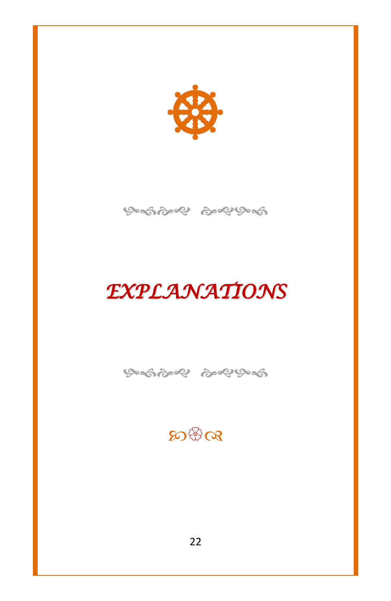

ஒஞ்ஜை ஒஜு க

## *EXPLANATIONS*

ଡ଼େଇଡ଼େ ବି ବି ବି

### $\mathfrak{D}$ ଞିତ୍ୟ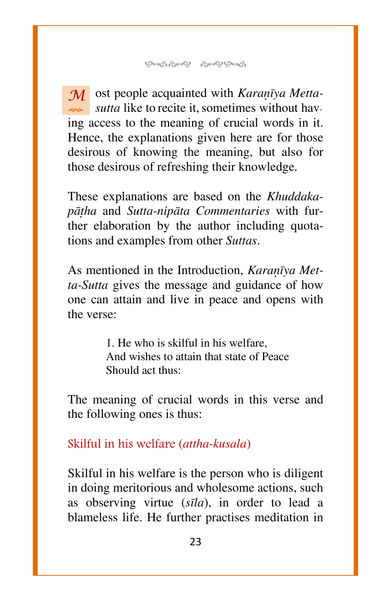$\overline{\mathcal{M}}$  ost people acquainted with *Karañva Mettasutta* like to recite it, sometimes without having access to the meaning of crucial words in it. Hence, the explanations given here are for those desirous of knowing the meaning, but also for those desirous of refreshing their knowledge.

These explanations are based on the *Khuddakapàñha* and *Sutta-nipàta Commentaries* with further elaboration by the author including quotations and examples from other *Suttas*.

As mentioned in the Introduction, *Karañva Metta-Sutta* gives the message and guidance of how one can attain and live in peace and opens with the verse:

> 1. He who is skilful in his welfare, And wishes to attain that state of Peace Should act thus:

The meaning of crucial words in this verse and the following ones is thus:

Skilful in his welfare (*attha-kusala*)

Skilful in his welfare is the person who is diligent in doing meritorious and wholesome actions, such as observing virtue (*sãla*), in order to lead a blameless life. He further practises meditation in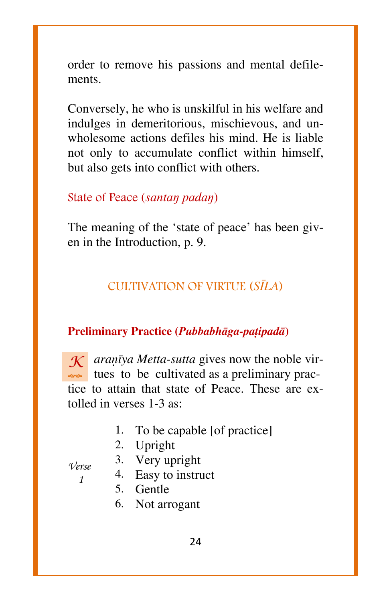order to remove his passions and mental defilements.

Conversely, he who is unskilful in his welfare and indulges in demeritorious, mischievous, and unwholesome actions defiles his mind. He is liable not only to accumulate conflict within himself, but also gets into conflict with others.

#### State of Peace (*santaŋ padaŋ*)

The meaning of the 'state of peace' has been given in the Introduction, p. 9.

#### CULTIVATION OF VIRTUE (*SäLA*)

#### **Preliminary Practice (***Pubbabhàga-pañipadà***)**

 $K$  *aranīya Metta-sutta* gives now the noble virtues to be cultivated as a preliminary practice to attain that state of Peace. These are extolled in verses 1-3 as:

- 1. To be capable [of practice]
- 2. Upright
- 

*Verse 1*

- 3. Very upright
- 4. Easy to instruct
- 5. Gentle
- 6. Not arrogant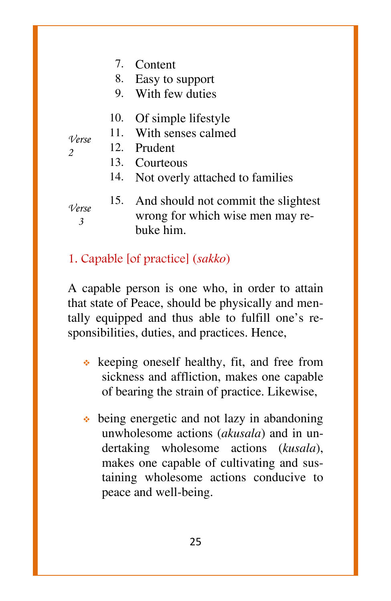- 7. Content
- 8. Easy to support
- 9. With few duties
- 10. Of simple lifestyle
- 11. With senses calmed
- *Verse 2* 12. Prudent
	- 13. Courteous
	- 14. Not overly attached to families
- *Verse 3*
- 15. And should not commit the slightest wrong for which wise men may rebuke him.
- 1. Capable [of practice] (*sakko*)

A capable person is one who, in order to attain that state of Peace, should be physically and mentally equipped and thus able to fulfill one's responsibilities, duties, and practices. Hence,

- $\triangleleft$  keeping oneself healthy, fit, and free from sickness and affliction, makes one capable of bearing the strain of practice. Likewise,
- $\bullet$  being energetic and not lazy in abandoning unwholesome actions (*akusala*) and in undertaking wholesome actions (*kusala*), makes one capable of cultivating and sustaining wholesome actions conducive to peace and well-being.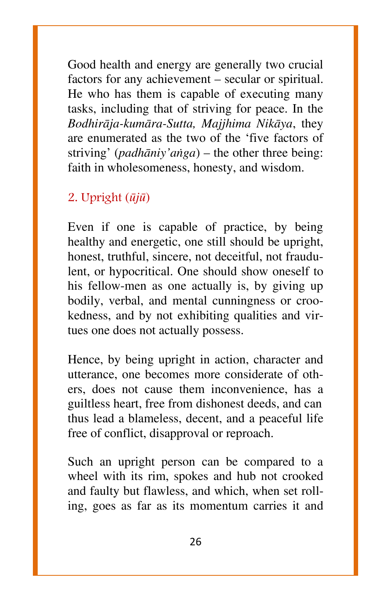Good health and energy are generally two crucial factors for any achievement – secular or spiritual. He who has them is capable of executing many tasks, including that of striving for peace. In the *Bodhiràja-kumàra-Sutta, Majjhima Nikàya*, they are enumerated as the two of the `five factors of striving' (*padhāniy'anga*) – the other three being: faith in wholesomeness, honesty, and wisdom.

#### 2. Upright (*åjå*)

Even if one is capable of practice, by being healthy and energetic, one still should be upright, honest, truthful, sincere, not deceitful, not fraudulent, or hypocritical. One should show oneself to his fellow-men as one actually is, by giving up bodily, verbal, and mental cunningness or crookedness, and by not exhibiting qualities and virtues one does not actually possess.

Hence, by being upright in action, character and utterance, one becomes more considerate of others, does not cause them inconvenience, has a guiltless heart, free from dishonest deeds, and can thus lead a blameless, decent, and a peaceful life free of conflict, disapproval or reproach.

Such an upright person can be compared to a wheel with its rim, spokes and hub not crooked and faulty but flawless, and which, when set rolling, goes as far as its momentum carries it and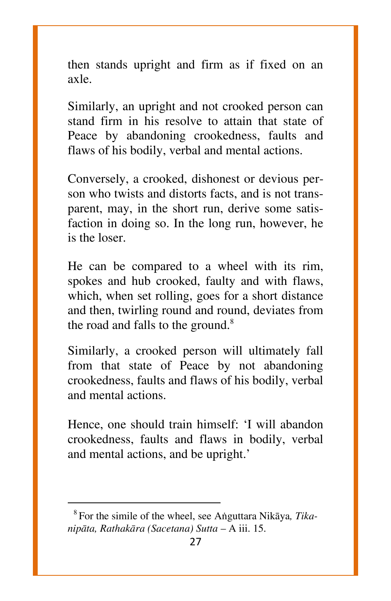then stands upright and firm as if fixed on an axle.

Similarly, an upright and not crooked person can stand firm in his resolve to attain that state of Peace by abandoning crookedness, faults and flaws of his bodily, verbal and mental actions.

Conversely, a crooked, dishonest or devious person who twists and distorts facts, and is not transparent, may, in the short run, derive some satisfaction in doing so. In the long run, however, he is the loser.

He can be compared to a wheel with its rim, spokes and hub crooked, faulty and with flaws, which, when set rolling, goes for a short distance and then, twirling round and round, deviates from the road and falls to the ground. $8$ 

Similarly, a crooked person will ultimately fall from that state of Peace by not abandoning crookedness, faults and flaws of his bodily, verbal and mental actions.

Hence, one should train himself: `I will abandon crookedness, faults and flaws in bodily, verbal and mental actions, and be upright.'

 $\overline{\phantom{a}}$ 

<sup>8</sup> <sup>8</sup>For the simile of the wheel, see Aïguttara Nikàya*, Tikanipāta, Rathakāra (Sacetana) Sutta - A iii.* 15.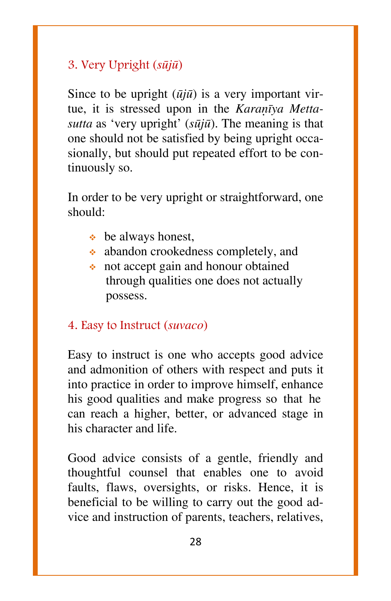#### 3. Very Upright (*såjå*)

Since to be upright (*åjå*) is a very important virtue, it is stressed upon in the *Karanīya Mettasutta* as `very upright' (*såjå*). The meaning is that one should not be satisfied by being upright occasionally, but should put repeated effort to be continuously so.

In order to be very upright or straightforward, one should:

- $\bullet$  be always honest,
- abandon crookedness completely, and
- not accept gain and honour obtained through qualities one does not actually possess.

#### 4. Easy to Instruct (*suvaco*)

Easy to instruct is one who accepts good advice and admonition of others with respect and puts it into practice in order to improve himself, enhance his good qualities and make progress so that he can reach a higher, better, or advanced stage in his character and life.

Good advice consists of a gentle, friendly and thoughtful counsel that enables one to avoid faults, flaws, oversights, or risks. Hence, it is beneficial to be willing to carry out the good advice and instruction of parents, teachers, relatives,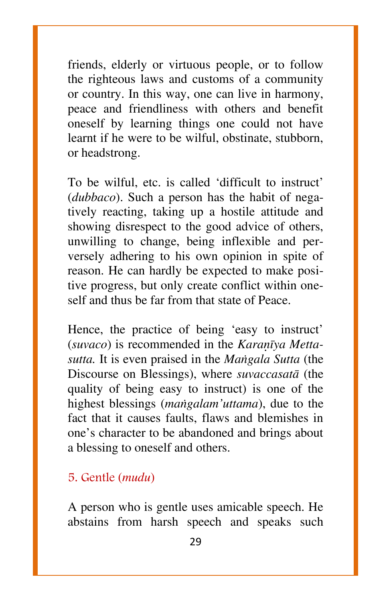friends, elderly or virtuous people, or to follow the righteous laws and customs of a community or country. In this way, one can live in harmony, peace and friendliness with others and benefit oneself by learning things one could not have learnt if he were to be wilful, obstinate, stubborn, or headstrong.

To be wilful, etc. is called 'difficult to instruct' (*dubbaco*). Such a person has the habit of negatively reacting, taking up a hostile attitude and showing disrespect to the good advice of others, unwilling to change, being inflexible and perversely adhering to his own opinion in spite of reason. He can hardly be expected to make positive progress, but only create conflict within oneself and thus be far from that state of Peace.

Hence, the practice of being 'easy to instruct' (suvaco) is recommended in the *Karanīya Mettasutta.* It is even praised in the *Maïgala Sutta* (the Discourse on Blessings), where *suvaccasatà* (the quality of being easy to instruct) is one of the highest blessings (*maïgalam'uttama*), due to the fact that it causes faults, flaws and blemishes in one's character to be abandoned and brings about a blessing to oneself and others.

#### 5. Gentle (*mudu*)

A person who is gentle uses amicable speech. He abstains from harsh speech and speaks such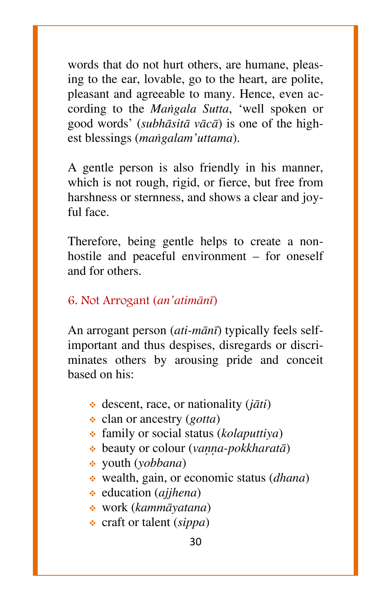words that do not hurt others, are humane, pleasing to the ear, lovable, go to the heart, are polite, pleasant and agreeable to many. Hence, even according to the *Maïgala Sutta*, `well spoken or good words' (*subhàsità vàcà*) is one of the highest blessings (*maïgalam'uttama*).

A gentle person is also friendly in his manner, which is not rough, rigid, or fierce, but free from harshness or sternness, and shows a clear and joyful face.

Therefore, being gentle helps to create a nonhostile and peaceful environment  $-$  for oneself and for others.

#### 6. Not Arrogant (*an'atimànã*)

An arrogant person (*ati-mànã*) typically feels selfimportant and thus despises, disregards or discriminates others by arousing pride and conceit based on his:

- descent, race, or nationality (*jàti*)
- clan or ancestry (*gotta*)
- family or social status (*kolaputtiya*)
- $\triangleq$  beauty or colour (*vanna-pokkharatā*)
- youth (*yobbana*)
- wealth, gain, or economic status (*dhana*)
- education (*ajjhena*)
- work (*kammàyatana*)
- craft or talent (*sippa*)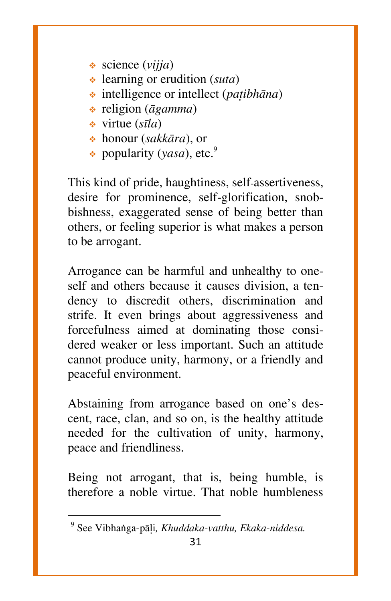- science (*vijja*)
- learning or erudition (*suta*)
- intelligence or intellect (*patibhāna*)
- religion (*àgamma*)
- virtue (*sãla*)
- honour (*sakkàra*), or
- popularity (*yasa*), etc.<sup>9</sup>

This kind of pride, haughtiness, self-assertiveness, desire for prominence, self-glorification, snobbishness, exaggerated sense of being better than others, or feeling superior is what makes a person to be arrogant.

Arrogance can be harmful and unhealthy to oneself and others because it causes division, a tendency to discredit others, discrimination and strife. It even brings about aggressiveness and forcefulness aimed at dominating those considered weaker or less important. Such an attitude cannot produce unity, harmony, or a friendly and peaceful environment.

Abstaining from arrogance based on one's descent, race, clan, and so on, is the healthy attitude needed for the cultivation of unity, harmony, peace and friendliness.

Being not arrogant, that is, being humble, is therefore a noble virtue. That noble humbleness

 $\overline{\phantom{a}}$ 

<sup>9</sup>9 See Vibhaïga-pàëi*, Khuddaka-vatthu, Ekaka-niddesa.*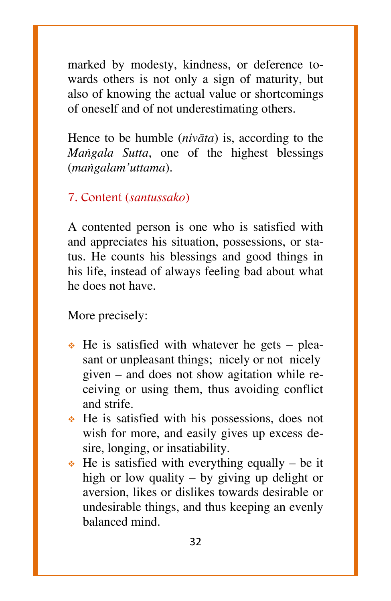marked by modesty, kindness, or deference towards others is not only a sign of maturity, but also of knowing the actual value or shortcomings of oneself and of not underestimating others.

Hence to be humble (*nivàta*) is, according to the *Maïgala Sutta*, one of the highest blessings (*maïgalam'uttama*).

#### 7. Content (*santussako*)

A contented person is one who is satisfied with and appreciates his situation, possessions, or status. He counts his blessings and good things in his life, instead of always feeling bad about what he does not have.

More precisely:

- $\div$  He is satisfied with whatever he gets pleasant or unpleasant things; nicely or not nicely given  $-$  and does not show agitation while receiving or using them, thus avoiding conflict and strife.
- $\cdot$  He is satisfied with his possessions, does not wish for more, and easily gives up excess desire, longing, or insatiability.
- $\cdot$  He is satisfied with everything equally be it high or low quality  $-$  by giving up delight or aversion, likes or dislikes towards desirable or undesirable things, and thus keeping an evenly balanced mind.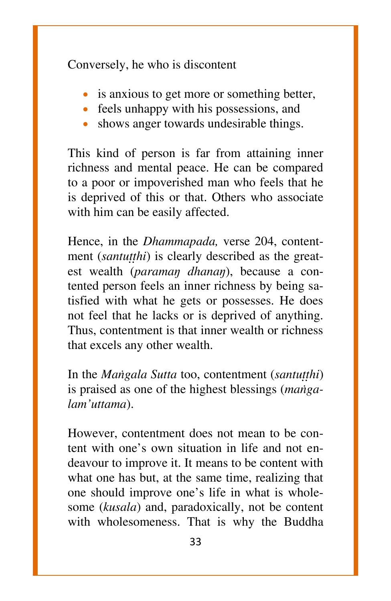Conversely, he who is discontent

- is anxious to get more or something better,
- feels unhappy with his possessions, and
- shows anger towards undesirable things.

This kind of person is far from attaining inner richness and mental peace. He can be compared to a poor or impoverished man who feels that he is deprived of this or that. Others who associate with him can be easily affected.

Hence, in the *Dhammapada,* verse 204, contentment *(santutthi)* is clearly described as the greatest wealth (*paramaŋ dhanaŋ*), because a contented person feels an inner richness by being satisfied with what he gets or possesses. He does not feel that he lacks or is deprived of anything. Thus, contentment is that inner wealth or richness that excels any other wealth.

In the *Mangala Sutta* too, contentment (*santutthi*) is praised as one of the highest blessings (*maïgalam'uttama*).

However, contentment does not mean to be content with one's own situation in life and not endeavour to improve it. It means to be content with what one has but, at the same time, realizing that one should improve one's life in what is wholesome (*kusala*) and, paradoxically, not be content with wholesomeness. That is why the Buddha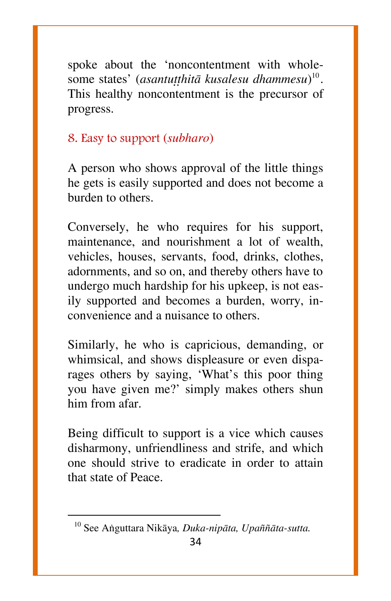spoke about the `noncontentment with wholesome states' (*asantuṭṭhitā kusalesu dhammesu*)<sup>10</sup>. This healthy noncontentment is the precursor of progress.

#### 8. Easy to support (*subharo*)

A person who shows approval of the little things he gets is easily supported and does not become a burden to others.

Conversely, he who requires for his support, maintenance, and nourishment a lot of wealth, vehicles, houses, servants, food, drinks, clothes, adornments, and so on, and thereby others have to undergo much hardship for his upkeep, is not easily supported and becomes a burden, worry, inconvenience and a nuisance to others.

Similarly, he who is capricious, demanding, or whimsical, and shows displeasure or even disparages others by saying, 'What's this poor thing you have given me?' simply makes others shun him from afar.

Being difficult to support is a vice which causes disharmony, unfriendliness and strife, and which one should strive to eradicate in order to attain that state of Peace.

 $\overline{\phantom{a}}$ 

<sup>&</sup>lt;sup>10</sup> See Anguttara Nikāya, Duka-nipāta, Upaññāta-sutta.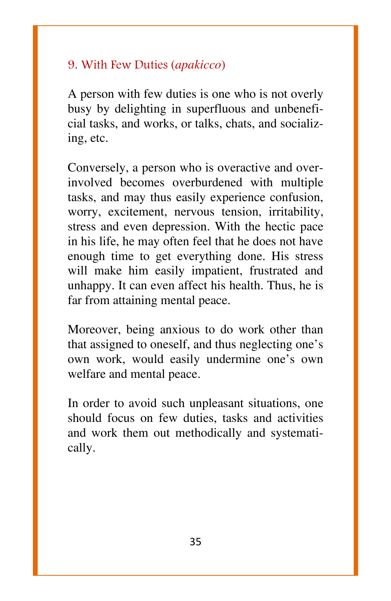#### 9. With Few Duties (*apakicco*)

A person with few duties is one who is not overly busy by delighting in superfluous and unbeneficial tasks, and works, or talks, chats, and socializing, etc.

Conversely, a person who is overactive and overinvolved becomes overburdened with multiple tasks, and may thus easily experience confusion, worry, excitement, nervous tension, irritability, stress and even depression. With the hectic pace in his life, he may often feel that he does not have enough time to get everything done. His stress will make him easily impatient, frustrated and unhappy. It can even affect his health. Thus, he is far from attaining mental peace.

Moreover, being anxious to do work other than that assigned to oneself, and thus neglecting one's own work, would easily undermine one's own welfare and mental peace.

In order to avoid such unpleasant situations, one should focus on few duties, tasks and activities and work them out methodically and systematically.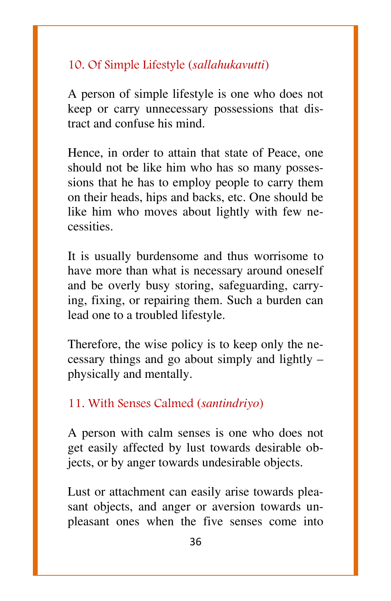#### 10. Of Simple Lifestyle (*sallahukavutti*)

A person of simple lifestyle is one who does not keep or carry unnecessary possessions that distract and confuse his mind.

Hence, in order to attain that state of Peace, one should not be like him who has so many possessions that he has to employ people to carry them on their heads, hips and backs, etc. One should be like him who moves about lightly with few necessities.

It is usually burdensome and thus worrisome to have more than what is necessary around oneself and be overly busy storing, safeguarding, carrying, fixing, or repairing them. Such a burden can lead one to a troubled lifestyle.

Therefore, the wise policy is to keep only the necessary things and go about simply and lightly  $$ physically and mentally.

#### 11. With Senses Calmed (*santindriyo*)

A person with calm senses is one who does not get easily affected by lust towards desirable objects, or by anger towards undesirable objects.

Lust or attachment can easily arise towards pleasant objects, and anger or aversion towards unpleasant ones when the five senses come into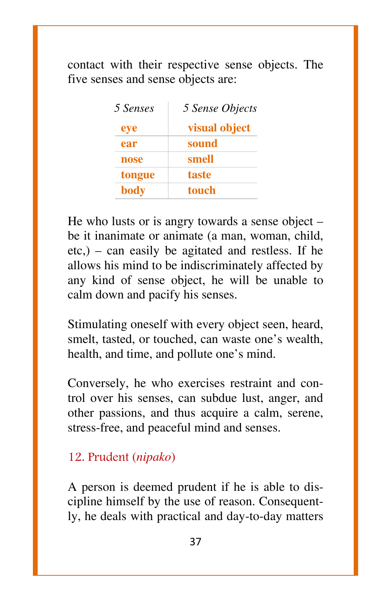contact with their respective sense objects. The five senses and sense objects are:

| 5 Senses | 5 Sense Objects |
|----------|-----------------|
| eye      | visual object   |
| ear      | sound           |
| nose     | smell           |
| tongue   | taste           |
| body     | touch           |

He who lusts or is angry towards a sense object  $$ be it inanimate or animate (a man, woman, child,  $etc$ ,) – can easily be agitated and restless. If he allows his mind to be indiscriminately affected by any kind of sense object, he will be unable to calm down and pacify his senses.

Stimulating oneself with every object seen, heard, smelt, tasted, or touched, can waste one's wealth, health, and time, and pollute one's mind.

Conversely, he who exercises restraint and control over his senses, can subdue lust, anger, and other passions, and thus acquire a calm, serene, stress-free, and peaceful mind and senses.

#### 12. Prudent (*nipako*)

A person is deemed prudent if he is able to discipline himself by the use of reason. Consequently, he deals with practical and day-to-day matters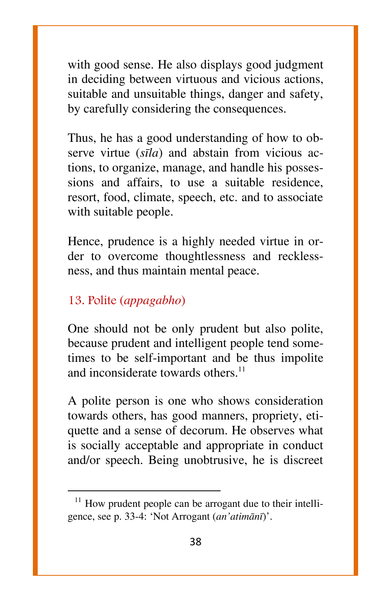with good sense. He also displays good judgment in deciding between virtuous and vicious actions, suitable and unsuitable things, danger and safety, by carefully considering the consequences.

Thus, he has a good understanding of how to observe virtue (*sãla*) and abstain from vicious actions, to organize, manage, and handle his possessions and affairs, to use a suitable residence, resort, food, climate, speech, etc. and to associate with suitable people.

Hence, prudence is a highly needed virtue in order to overcome thoughtlessness and recklessness, and thus maintain mental peace.

#### 13. Polite (*appagabho*)

l

One should not be only prudent but also polite, because prudent and intelligent people tend sometimes to be self-important and be thus impolite and inconsiderate towards others. $11$ 

A polite person is one who shows consideration towards others, has good manners, propriety, etiquette and a sense of decorum. He observes what is socially acceptable and appropriate in conduct and/or speech. Being unobtrusive, he is discreet

 $11$  How prudent people can be arrogant due to their intelligence, see p. 33-4: `Not Arrogant (*an'atimànã*)'.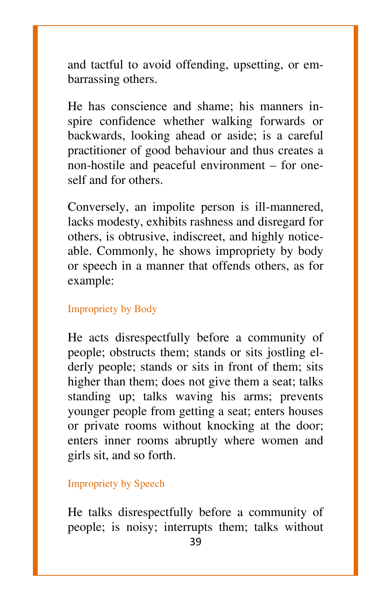and tactful to avoid offending, upsetting, or embarrassing others.

He has conscience and shame; his manners inspire confidence whether walking forwards or backwards, looking ahead or aside; is a careful practitioner of good behaviour and thus creates a non-hostile and peaceful environment – for oneself and for others.

Conversely, an impolite person is ill-mannered, lacks modesty, exhibits rashness and disregard for others, is obtrusive, indiscreet, and highly noticeable. Commonly, he shows impropriety by body or speech in a manner that offends others, as for example:

#### Impropriety by Body

He acts disrespectfully before a community of people; obstructs them; stands or sits jostling elderly people; stands or sits in front of them; sits higher than them; does not give them a seat; talks standing up; talks waving his arms; prevents younger people from getting a seat; enters houses or private rooms without knocking at the door; enters inner rooms abruptly where women and girls sit, and so forth.

Impropriety by Speech

He talks disrespectfully before a community of people; is noisy; interrupts them; talks without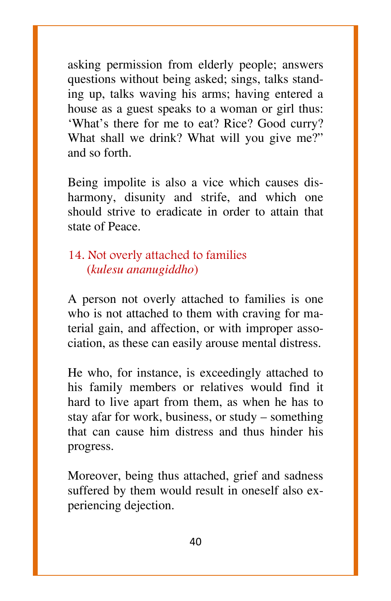asking permission from elderly people; answers questions without being asked; sings, talks standing up, talks waving his arms; having entered a house as a guest speaks to a woman or girl thus: `What's there for me to eat? Rice? Good curry? What shall we drink? What will you give me?" and so forth.

Being impolite is also a vice which causes disharmony, disunity and strife, and which one should strive to eradicate in order to attain that state of Peace.

#### 14. Not overly attached to families (*kulesu ananugiddho*)

A person not overly attached to families is one who is not attached to them with craving for material gain, and affection, or with improper association, as these can easily arouse mental distress.

He who, for instance, is exceedingly attached to his family members or relatives would find it hard to live apart from them, as when he has to stay afar for work, business, or study  $-$  something that can cause him distress and thus hinder his progress.

Moreover, being thus attached, grief and sadness suffered by them would result in oneself also experiencing dejection.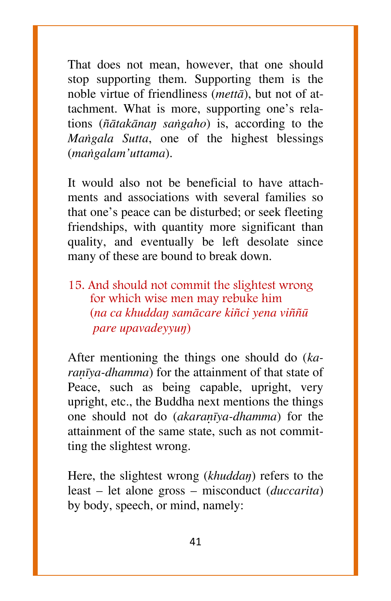That does not mean, however, that one should stop supporting them. Supporting them is the noble virtue of friendliness (*mettà*), but not of attachment. What is more, supporting one's relations (*¤àtakànaŋ saïgaho*) is, according to the *Maïgala Sutta*, one of the highest blessings (*maïgalam'uttama*).

It would also not be beneficial to have attachments and associations with several families so that one's peace can be disturbed; or seek fleeting friendships, with quantity more significant than quality, and eventually be left desolate since many of these are bound to break down.

15. And should not commit the slightest wrong for which wise men may rebuke him (*na ca khuddaŋ samàcare ki¤ci yena vi¤¤å pare upavadeyyuŋ*)

After mentioning the things one should do (*karanīya-dhamma*) for the attainment of that state of Peace, such as being capable, upright, very upright, etc., the Buddha next mentions the things one should not do *(akaranīya-dhamma*) for the attainment of the same state, such as not committing the slightest wrong.

Here, the slightest wrong (*khuddaŋ*) refers to the least – let alone gross – misconduct (*duccarita*) by body, speech, or mind, namely: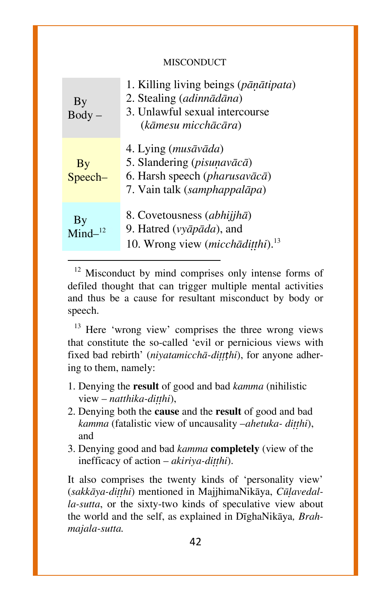#### MISCONDUCT

| By<br><b>Body</b>        | 1. Killing living beings (pāņātipata)<br>2. Stealing (adinnādāna)<br>3. Unlawful sexual intercourse<br>(kāmesu micchācāra) |
|--------------------------|----------------------------------------------------------------------------------------------------------------------------|
| By<br>Speech-            | 4. Lying (musāvāda)<br>5. Slandering (pisunavācā)<br>6. Harsh speech (pharusavācā)<br>7. Vain talk (samphappalāpa)         |
| By<br>Mind <sup>12</sup> | 8. Covetousness (abhijjhā)<br>9. Hatred (vyāpāda), and<br>10. Wrong view ( <i>micchaditthi</i> ). <sup>13</sup>            |
|                          |                                                                                                                            |

 $12$  Misconduct by mind comprises only intense forms of defiled thought that can trigger multiple mental activities and thus be a cause for resultant misconduct by body or speech.

 $13$  Here 'wrong view' comprises the three wrong views that constitute the so-called `evil or pernicious views with fixed bad rebirth' (*niyatamicchā-ditthi*), for anyone adhering to them, namely:

- 1. Denying the **result** of good and bad *kamma* (nihilistic view – *natthika-ditthi*),
- 2. Denying both the **cause** and the **result** of good and bad *kamma* (fatalistic view of uncausality *-ahetuka- ditthi*), and
- 3. Denying good and bad *kamma* **completely** (view of the inefficacy of action – *akiriya-ditthi*).

It also comprises the twenty kinds of `personality view' (sakkāya-ditthi) mentioned in MajjhimaNikāya, Cūlavedal*la-sutta*, or the sixty-two kinds of speculative view about the world and the self, as explained in DãghaNikàya*, Brahmajala-sutta.*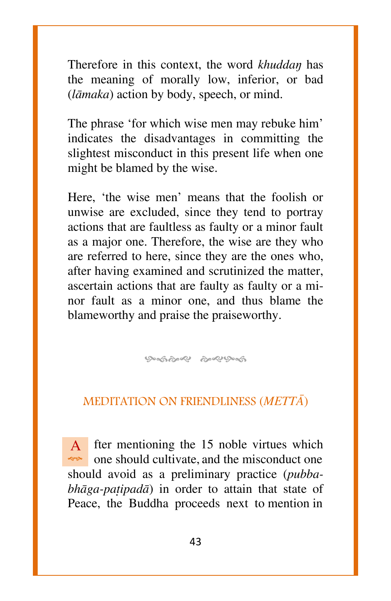Therefore in this context, the word *khuddaŋ* has the meaning of morally low, inferior, or bad (*làmaka*) action by body, speech, or mind.

The phrase 'for which wise men may rebuke him' indicates the disadvantages in committing the slightest misconduct in this present life when one might be blamed by the wise.

Here, 'the wise men' means that the foolish or unwise are excluded, since they tend to portray actions that are faultless as faulty or a minor fault as a major one. Therefore, the wise are they who are referred to here, since they are the ones who, after having examined and scrutinized the matter, ascertain actions that are faulty as faulty or a minor fault as a minor one, and thus blame the blameworthy and praise the praiseworthy.

ஒஞ்ஒஜ் ஒஜ்ஒஞ்

#### MEDITATION ON FRIENDLINESS (*METTâ*)

A one should cultivate, and the misconduct one fter mentioning the 15 noble virtues which should avoid as a preliminary practice (*pubba* $bh\bar{a}g$ *a-patipada*) in order to attain that state of Peace, the Buddha proceeds next to mention in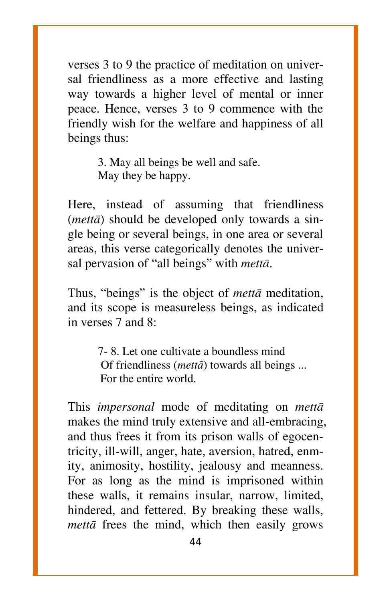verses 3 to 9 the practice of meditation on universal friendliness as a more effective and lasting way towards a higher level of mental or inner peace. Hence, verses 3 to 9 commence with the friendly wish for the welfare and happiness of all beings thus:

> 3. May all beings be well and safe. May they be happy.

Here, instead of assuming that friendliness (*mettà*) should be developed only towards a single being or several beings, in one area or several areas, this verse categorically denotes the universal pervasion of "all beings" with *metta*.

Thus, "beings" is the object of *metta* meditation, and its scope is measureless beings, as indicated in verses 7 and 8:

> 7- 8. Let one cultivate a boundless mind Of friendliness (*mettā*) towards all beings ... For the entire world.

This *impersonal* mode of meditating on *mettà* makes the mind truly extensive and all-embracing, and thus frees it from its prison walls of egocentricity, ill-will, anger, hate, aversion, hatred, enmity, animosity, hostility, jealousy and meanness. For as long as the mind is imprisoned within these walls, it remains insular, narrow, limited, hindered, and fettered. By breaking these walls, *mettà* frees the mind, which then easily grows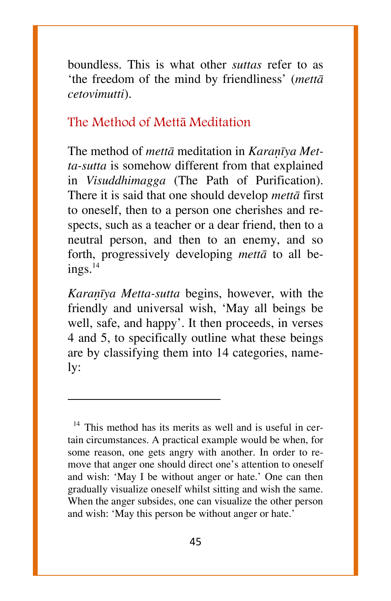boundless. This is what other *suttas* refer to as `the freedom of the mind by friendliness' (*mettà cetovimutti*).

#### The Method of Mettà Meditation

The method of *mettā* meditation in *Karanīya Metta-sutta* is somehow different from that explained in *Visuddhimagga* (The Path of Purification). There it is said that one should develop *mettà* first to oneself, then to a person one cherishes and respects, such as a teacher or a dear friend, then to a neutral person, and then to an enemy, and so forth, progressively developing *mettà* to all beings.<sup>14</sup>

*Karanīya Metta-sutta* begins, however, with the friendly and universal wish, `May all beings be well, safe, and happy'. It then proceeds, in verses 4 and 5, to specifically outline what these beings are by classifying them into 14 categories, namely:

 $\overline{\phantom{a}}$ 

 $14$  This method has its merits as well and is useful in certain circumstances. A practical example would be when, for some reason, one gets angry with another. In order to remove that anger one should direct one's attention to oneself and wish: 'May I be without anger or hate.' One can then gradually visualize oneself whilst sitting and wish the same. When the anger subsides, one can visualize the other person and wish: `May this person be without anger or hate.'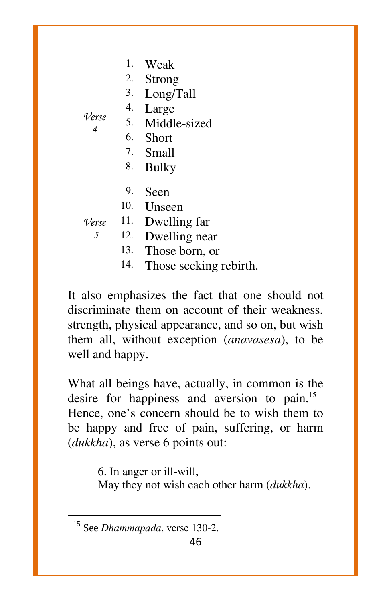|  | Weak |
|--|------|
|--|------|

2. Strong

3. Long/Tall

5. Middle-sized

4. Large

*Verse 4*

- 6. Short
- 7. Small
- 8. Bulky
- 9. Seen
- 10. Unseen

*Verse* 11. Dwelling far

*5* 12. Dwelling near

- 13. Those born, or
- 14. Those seeking rebirth.

It also emphasizes the fact that one should not discriminate them on account of their weakness, strength, physical appearance, and so on, but wish them all, without exception (*anavasesa*), to be well and happy.

What all beings have, actually, in common is the desire for happiness and aversion to pain.<sup>15</sup> Hence, one's concern should be to wish them to be happy and free of pain, suffering, or harm (*dukkha*), as verse 6 points out:

> 6. In anger or ill-will, May they not wish each other harm (*dukkha*).

 $\overline{\phantom{a}}$ 

<sup>&</sup>lt;sup>15</sup> See *Dhammapada*, verse 130-2.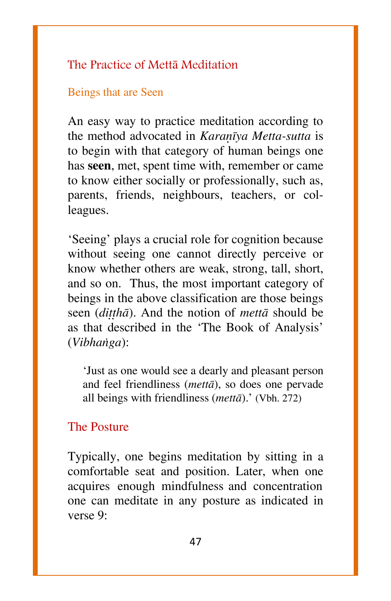#### The Practice of Mettà Meditation

#### Beings that are Seen

An easy way to practice meditation according to the method advocated in *Karañva Metta-sutta* is to begin with that category of human beings one has **seen**, met, spent time with, remember or came to know either socially or professionally, such as, parents, friends, neighbours, teachers, or colleagues.

`Seeing' plays a crucial role for cognition because without seeing one cannot directly perceive or know whether others are weak, strong, tall, short, and so on. Thus, the most important category of beings in the above classification are those beings seen (*dittha*). And the notion of *metta* should be as that described in the `The Book of Analysis' (*Vibhaïga*):

`Just as one would see a dearly and pleasant person and feel friendliness (*mettà*), so does one pervade all beings with friendliness (*mettà*).' (Vbh. 272)

#### The Posture

Typically, one begins meditation by sitting in a comfortable seat and position. Later, when one acquires enough mindfulness and concentration one can meditate in any posture as indicated in verse 9: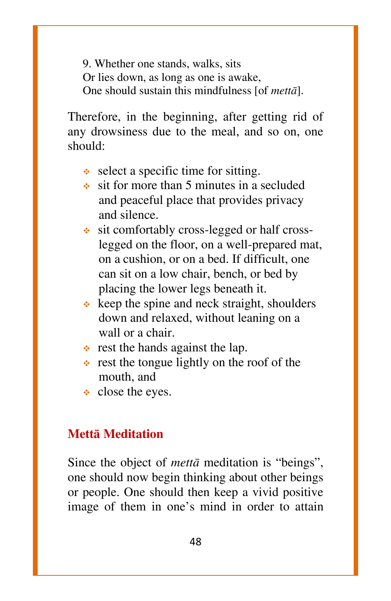9. Whether one stands, walks, sits Or lies down, as long as one is awake, One should sustain this mindfulness [of *mettà*].

Therefore, in the beginning, after getting rid of any drowsiness due to the meal, and so on, one should:

- $\triangleleft$  select a specific time for sitting.
- $\bullet$  sit for more than 5 minutes in a secluded and peaceful place that provides privacy and silence.
- sit comfortably cross-legged or half cross legged on the floor, on a well-prepared mat, on a cushion, or on a bed. If difficult, one can sit on a low chair, bench, or bed by placing the lower legs beneath it.
- $\triangle$  keep the spine and neck straight, shoulders down and relaxed, without leaning on a wall or a chair.
- $\div$  rest the hands against the lap.
- $\cdot$  rest the tongue lightly on the roof of the mouth, and
- close the eyes.

#### **Mettà Meditation**

Since the object of *metta* meditation is "beings", one should now begin thinking about other beings or people. One should then keep a vivid positive image of them in one's mind in order to attain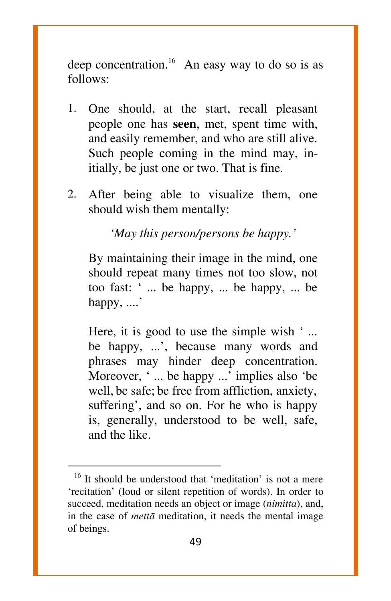deep concentration.<sup>16</sup> An easy way to do so is as follows:

- 1. One should, at the start, recall pleasant people one has **seen**, met, spent time with, and easily remember, and who are still alive. Such people coming in the mind may, initially, be just one or two. That is fine.
- 2. After being able to visualize them, one should wish them mentally:

*`May this person/persons be happy.'*

By maintaining their image in the mind, one should repeat many times not too slow, not too fast: ` ... be happy, ... be happy, ... be happy, ....<sup>3</sup>

Here, it is good to use the simple wish  $\cdot$  ... be happy, ...', because many words and phrases may hinder deep concentration. Moreover, '... be happy ...' implies also 'be well, be safe; be free from affliction, anxiety, suffering', and so on. For he who is happy is, generally, understood to be well, safe, and the like.

 $\overline{a}$ 

 $16$  It should be understood that 'meditation' is not a mere `recitation' (loud or silent repetition of words). In order to succeed, meditation needs an object or image (*nimitta*), and, in the case of *mettà* meditation, it needs the mental image of beings.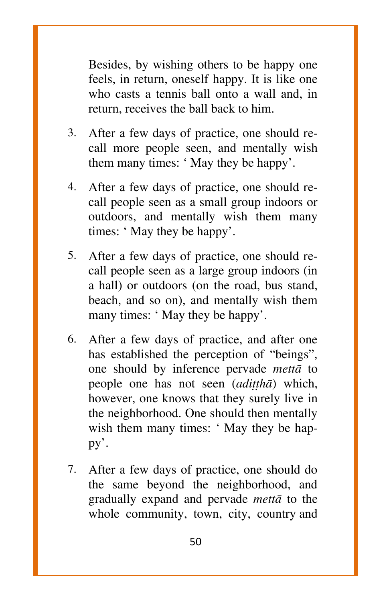Besides, by wishing others to be happy one feels, in return, oneself happy. It is like one who casts a tennis ball onto a wall and, in return, receives the ball back to him.

- 3. After a few days of practice, one should recall more people seen, and mentally wish them many times: 'May they be happy'.
- 4. After a few days of practice, one should recall people seen as a small group indoors or outdoors, and mentally wish them many times: ` May they be happy'.
- 5. After a few days of practice, one should recall people seen as a large group indoors (in a hall) or outdoors (on the road, bus stand, beach, and so on), and mentally wish them many times: 'May they be happy'.
- 6. After a few days of practice, and after one has established the perception of "beings", one should by inference pervade *mettà* to people one has not seen (*adittha*) which, however, one knows that they surely live in the neighborhood. One should then mentally wish them many times: 'May they be happy'.
- 7. After a few days of practice, one should do the same beyond the neighborhood, and gradually expand and pervade *mettà* to the whole community, town, city, country and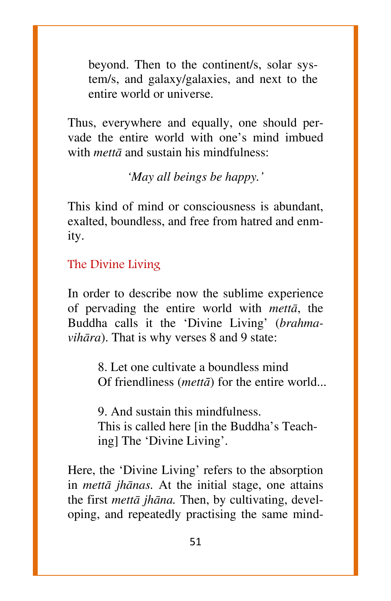beyond. Then to the continent/s, solar system/s, and galaxy/galaxies, and next to the entire world or universe.

Thus, everywhere and equally, one should pervade the entire world with one's mind imbued with *mettà* and sustain his mindfulness:

*`May all beings be happy.'*

This kind of mind or consciousness is abundant, exalted, boundless, and free from hatred and enmity.

The Divine Living

In order to describe now the sublime experience of pervading the entire world with *mettà*, the Buddha calls it the `Divine Living' (*brahmavihāra*). That is why verses 8 and 9 state:

> 8. Let one cultivate a boundless mind Of friendliness (*mettā*) for the entire world...

9. And sustain this mindfulness. This is called here [in the Buddha's Teaching] The `Divine Living'.

Here, the 'Divine Living' refers to the absorption in *mettà jhànas.* At the initial stage, one attains the first *mettà jhàna.* Then, by cultivating, developing, and repeatedly practising the same mind-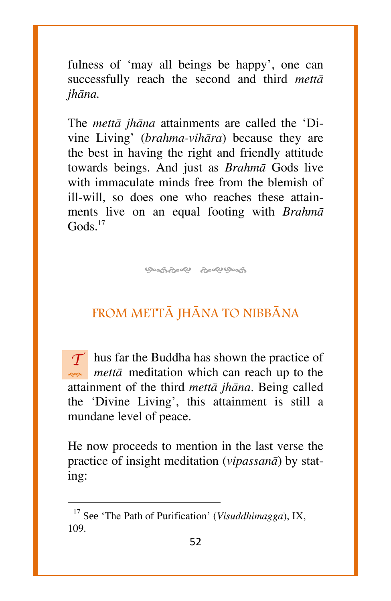fulness of 'may all beings be happy', one can successfully reach the second and third *mettà jhàna.*

The *mettà jhàna* attainments are called the `Divine Living' (*brahma-vihàra*) because they are the best in having the right and friendly attitude towards beings. And just as *Brahmà* Gods live with immaculate minds free from the blemish of ill-will, so does one who reaches these attainments live on an equal footing with *Brahmà*  $G$ ods. $17$ 

ശ്രഹ്മിക്ക് കുഴുക്ക

#### FROM METTâ JHâNA TO NIBBâNA

*T* hus far the Buddha has shown the practice of *mettà* meditation which can reach up to the attainment of the third *mettà jhàna*. Being called the `Divine Living', this attainment is still a mundane level of peace.

He now proceeds to mention in the last verse the practice of insight meditation (*vipassanà*) by stating:

 $\overline{\phantom{a}}$ 

<sup>&</sup>lt;sup>17</sup> See 'The Path of Purification' (*Visuddhimagga*), IX, 109.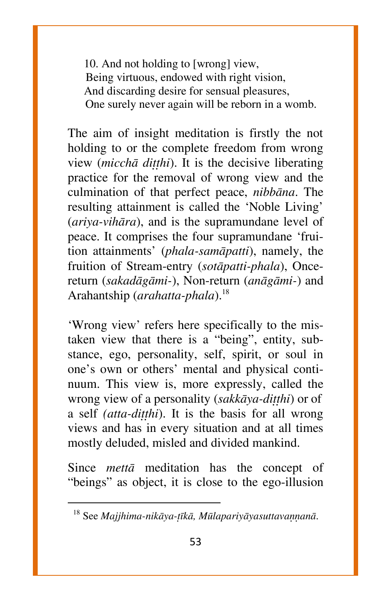10. And not holding to [wrong] view, Being virtuous, endowed with right vision, And discarding desire for sensual pleasures, One surely never again will be reborn in a womb.

The aim of insight meditation is firstly the not holding to or the complete freedom from wrong view (*micchā ditthi*). It is the decisive liberating practice for the removal of wrong view and the culmination of that perfect peace, *nibbàna*. The resulting attainment is called the `Noble Living' (*ariya-vihàra*), and is the supramundane level of peace. It comprises the four supramundane `fruition attainments' (*phala-samàpatti*), namely, the fruition of Stream-entry (*sotàpatti-phala*), Oncereturn (*sakadàgàmi-*), Non-return (*anàgàmi-*) and Arahantship (*arahatta-phala*).<sup>18</sup>

`Wrong view' refers here specifically to the mistaken view that there is a "being", entity, substance, ego, personality, self, spirit, or soul in one's own or others' mental and physical continuum. This view is, more expressly, called the wrong view of a personality (*sakkāya-ditthi*) or of a self *(atta-ditthi)*. It is the basis for all wrong views and has in every situation and at all times mostly deluded, misled and divided mankind.

Since *mettà* meditation has the concept of "beings" as object, it is close to the ego-illusion

 $\overline{\phantom{a}}$ 

<sup>&</sup>lt;sup>18</sup> See *Majjhima-nikāya-tīkā, Mūlapariyāyasuttavannanā*.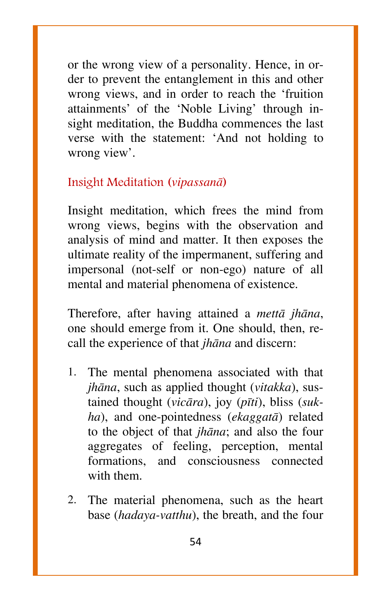or the wrong view of a personality. Hence, in order to prevent the entanglement in this and other wrong views, and in order to reach the `fruition attainments' of the `Noble Living' through insight meditation, the Buddha commences the last verse with the statement: `And not holding to wrong view'.

#### Insight Meditation (*vipassanà*)

Insight meditation, which frees the mind from wrong views, begins with the observation and analysis of mind and matter. It then exposes the ultimate reality of the impermanent, suffering and impersonal (not-self or non-ego) nature of all mental and material phenomena of existence.

Therefore, after having attained a *mettà jhàna*, one should emerge from it. One should, then, recall the experience of that *jhàna* and discern:

- 1. The mental phenomena associated with that *jhàna*, such as applied thought (*vitakka*), sustained thought (*vicàra*), joy (*pãti*), bliss (*sukha*), and one-pointedness (*ekaggatà*) related to the object of that *jhàna*; and also the four aggregates of feeling, perception, mental formations, and consciousness connected with them.
- 2. The material phenomena, such as the heart base (*hadaya-vatthu*), the breath, and the four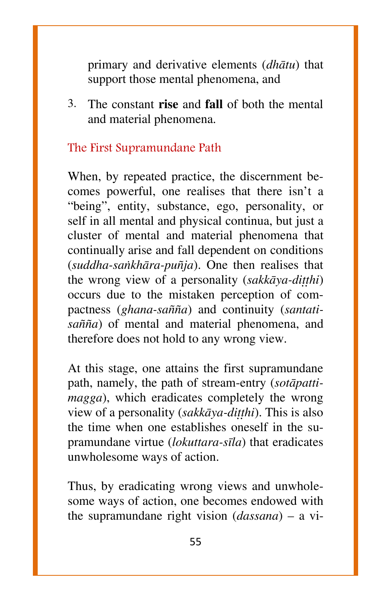primary and derivative elements (*dhàtu*) that support those mental phenomena, and

3. The constant **rise** and **fall** of both the mental and material phenomena.

#### The First Supramundane Path

When, by repeated practice, the discernment becomes powerful, one realises that there isn't a "being", entity, substance, ego, personality, or self in all mental and physical continua, but just a cluster of mental and material phenomena that continually arise and fall dependent on conditions (*suddha-saïkhàra-pu¤ja*). One then realises that the wrong view of a personality (sakkāya-ditthi) occurs due to the mistaken perception of compactness (ghana-sañña) and continuity (santati*sa¤¤a*) of mental and material phenomena, and therefore does not hold to any wrong view.

At this stage, one attains the first supramundane path, namely, the path of stream-entry (*sotàpattimagga*), which eradicates completely the wrong view of a personality (*sakkāya-ditthi*). This is also the time when one establishes oneself in the supramundane virtue (*lokuttara-sãla*) that eradicates unwholesome ways of action.

Thus, by eradicating wrong views and unwholesome ways of action, one becomes endowed with the supramundane right vision  $(dassana)$  – a vi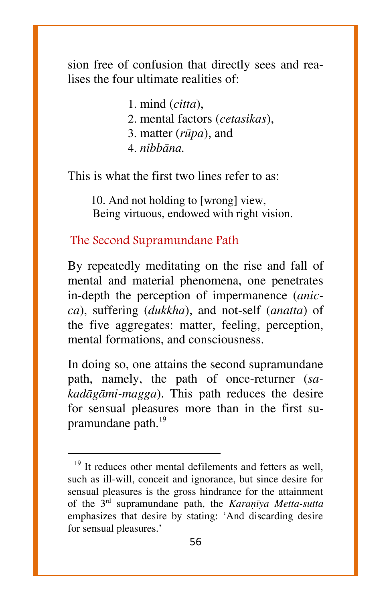sion free of confusion that directly sees and realises the four ultimate realities of:

> 1. mind (*citta*), 2. mental factors (*cetasikas*), 3. matter (*råpa*), and 4. *nibbàna.*

This is what the first two lines refer to as:

10. And not holding to [wrong] view, Being virtuous, endowed with right vision.

The Second Supramundane Path

 $\overline{a}$ 

By repeatedly meditating on the rise and fall of mental and material phenomena, one penetrates in-depth the perception of impermanence (*anicca*), suffering (*dukkha*), and not-self (*anatta*) of the five aggregates: matter, feeling, perception, mental formations, and consciousness.

In doing so, one attains the second supramundane path, namely, the path of once-returner (*sakadàgàmi-magga*). This path reduces the desire for sensual pleasures more than in the first supramundane path. $^{19}$ 

 $19$ <sup>19</sup> It reduces other mental defilements and fetters as well, such as ill-will, conceit and ignorance, but since desire for sensual pleasures is the gross hindrance for the attainment of the 3<sup>rd</sup> supramundane path, the *Karanīya Metta-sutta* emphasizes that desire by stating: `And discarding desire for sensual pleasures.'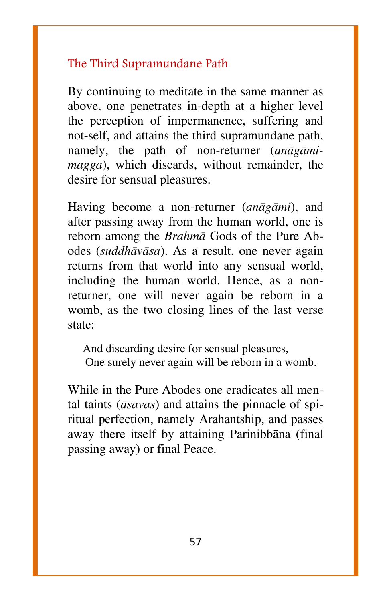#### The Third Supramundane Path

By continuing to meditate in the same manner as above, one penetrates in-depth at a higher level the perception of impermanence, suffering and not-self, and attains the third supramundane path, namely, the path of non-returner (*anàgàmimagga*), which discards, without remainder, the desire for sensual pleasures.

Having become a non-returner (*anàgàmi*), and after passing away from the human world, one is reborn among the *Brahmà* Gods of the Pure Abodes (*suddhàvàsa*). As a result, one never again returns from that world into any sensual world, including the human world. Hence, as a nonreturner, one will never again be reborn in a womb, as the two closing lines of the last verse state:

And discarding desire for sensual pleasures, One surely never again will be reborn in a womb.

While in the Pure Abodes one eradicates all mental taints (*àsavas*) and attains the pinnacle of spiritual perfection, namely Arahantship, and passes away there itself by attaining Parinibbàna (final passing away) or final Peace.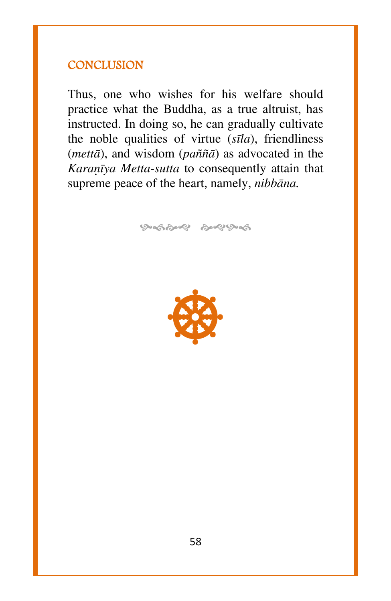#### **CONCLUSION**

Thus, one who wishes for his welfare should practice what the Buddha, as a true altruist, has instructed. In doing so, he can gradually cultivate the noble qualities of virtue (*sãla*), friendliness (*mettà*), and wisdom (*pa¤¤à*) as advocated in the *Karanīya Metta-sutta* to consequently attain that supreme peace of the heart, namely, *nibbàna.*

ஒஞ்ஜை ஒஜு ஒஞ்